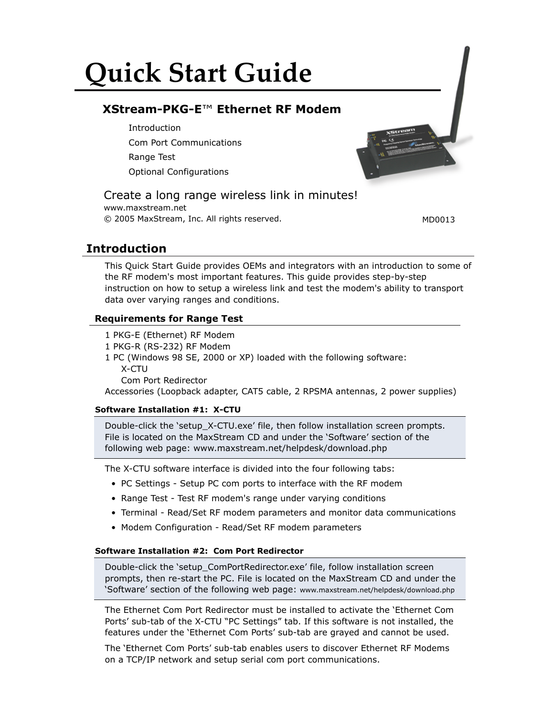# **Quick Start Guide**

# **XStream-PKG-E**™ **Ethernet RF Modem**

**Introduction** Com Port Communications Range Test Optional Configurations

# Create a long range wireless link in minutes!

www.maxstream.net © 2005 MaxStream, Inc. All rights reserved. MD0013

## **Introduction**

This Quick Start Guide provides OEMs and integrators with an introduction to some of the RF modem's most important features. This guide provides step-by-step instruction on how to setup a wireless link and test the modem's ability to transport data over varying ranges and conditions.

## **Requirements for Range Test**

- 1 PKG-E (Ethernet) RF Modem
- 1 PKG-R (RS-232) RF Modem
- 1 PC (Windows 98 SE, 2000 or XP) loaded with the following software: X-CTU
	- Com Port Redirector

Accessories (Loopback adapter, CAT5 cable, 2 RPSMA antennas, 2 power supplies)

## **Software Installation #1: X-CTU**

Double-click the 'setup\_X-CTU.exe' file, then follow installation screen prompts. File is located on the MaxStream CD and under the 'Software' section of the following web page: www.maxstream.net/helpdesk/download.php

The X-CTU software interface is divided into the four following tabs:

- PC Settings Setup PC com ports to interface with the RF modem
- Range Test Test RF modem's range under varying conditions
- Terminal Read/Set RF modem parameters and monitor data communications
- Modem Configuration Read/Set RF modem parameters

#### **Software Installation #2: Com Port Redirector**

Double-click the 'setup\_ComPortRedirector.exe' file, follow installation screen prompts, then re-start the PC. File is located on the MaxStream CD and under the 'Software' section of the following web page: www.maxstream.net/helpdesk/download.php

The Ethernet Com Port Redirector must be installed to activate the 'Ethernet Com Ports' sub-tab of the X-CTU "PC Settings" tab. If this software is not installed, the features under the 'Ethernet Com Ports' sub-tab are grayed and cannot be used.

The 'Ethernet Com Ports' sub-tab enables users to discover Ethernet RF Modems on a TCP/IP network and setup serial com port communications.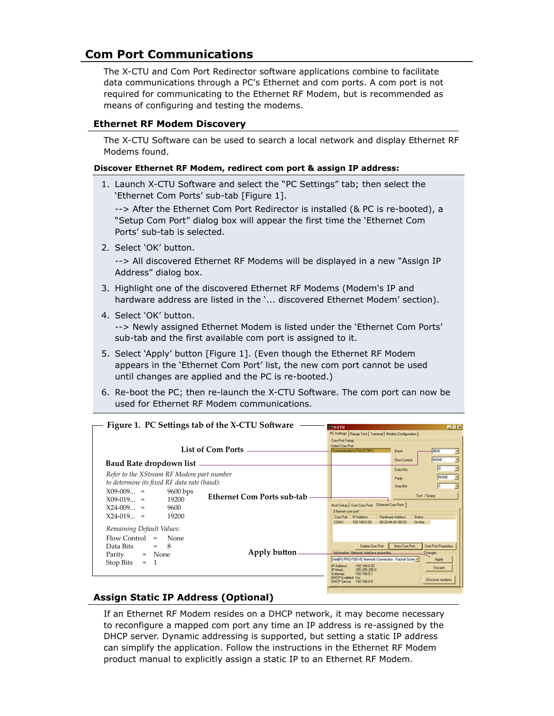# **Com Port Communications**

The X-CTU and Com Port Redirector software applications combine to facilitate data communications through a PC's Ethernet and com ports. A com port is not required for communicating to the Ethernet RF Modem, but is recommended as means of configuring and testing the modems.

## **Ethernet RF Modem Discovery**

The X-CTU Software can be used to search a local network and display Ethernet RF Modems found.

#### **Discover Ethernet RF Modem, redirect com port & assign IP address:**

1. Launch X-CTU Software and select the "PC Settings" tab; then select the 'Ethernet Com Ports' sub-tab [Figure 1].

--> After the Ethernet Com Port Redirector is installed (& PC is re-booted), a "Setup Com Port" dialog box will appear the first time the 'Ethernet Com Ports' sub-tab is selected.

2. Select 'OK' button.

 --> All discovered Ethernet RF Modems will be displayed in a new "Assign IP Address" dialog box.

- 3. Highlight one of the discovered Ethernet RF Modems (Modem's IP and hardware address are listed in the '... discovered Ethernet Modem' section).
- 4. Select 'OK' button.

 --> Newly assigned Ethernet Modem is listed under the 'Ethernet Com Ports' sub-tab and the first available com port is assigned to it.

- 5. Select 'Apply' button [Figure 1]. (Even though the Ethernet RF Modem appears in the 'Ethernet Com Port' list, the new com port cannot be used until changes are applied and the PC is re-booted.)
- 6. Re-boot the PC; then re-launch the X-CTU Software. The com port can now be used for Ethernet RF Modem communications.

| Figure 1. PC Settings tab of the X-CTU Software                                                                                                                                                                           |                                                        | <b>FEXCTU</b>                                                                                                                                                                                                                                                                                     | <b>REB</b>                                                                                                                                 |
|---------------------------------------------------------------------------------------------------------------------------------------------------------------------------------------------------------------------------|--------------------------------------------------------|---------------------------------------------------------------------------------------------------------------------------------------------------------------------------------------------------------------------------------------------------------------------------------------------------|--------------------------------------------------------------------------------------------------------------------------------------------|
| Baud Rate dropdown list -<br>Refer to the XStream RF Modem part number<br>to determine its fixed RF data rate (baud):<br>$X09-009 =$<br>$9600$ bps<br>$X09-019 =$<br>19200<br>$X24-009 =$<br>9600<br>$X24-019 =$<br>19200 | <b>List of Com Ports</b><br>Ethernet Com Ports sub-tab | PC Settings   Range Test   Terminal   Modem Configuration  <br>Com Port Selve-<br>Select Com Port<br>comparison for CONT<br>Host Setup   User Com Ports   Ethernet Com Ports  <br>Ethernet comport<br>IP Address<br>Com Port<br><b>Hardware Address</b><br>COM3<br>192168093<br>00 20 44 81 05 CE | <b>Baud</b><br>96230<br><b>NONE</b><br><b>Flow Control</b><br>Data Bits<br>NONE<br>Parity<br>Stop Biks<br>Test / Query<br>Status<br>On Ine |
| Remaining Default Values:<br>Flow Control<br>None<br>$=$<br>8<br>Data Bits<br>$=$<br>$=$ None<br>Parity<br>$=$ 1<br>Stop Bits                                                                                             | Apply button                                           | Delete Com Port<br>Information National: interface properties<br>IntelR) PRO/100 VE Network Connection - Packet Sche-<br>IP AANNAH<br>192108-0122<br>PMade<br>255, 255, 255, 0<br>192168.01<br>192108-05                                                                                          | Com Port Properties<br>New Com Port.<br>Diarges<br>Acciy<br>Discuss<br>Discover moderns                                                    |

## **Assign Static IP Address (Optional)**

If an Ethernet RF Modem resides on a DHCP network, it may become necessary to reconfigure a mapped com port any time an IP address is re-assigned by the DHCP server. Dynamic addressing is supported, but setting a static IP address can simplify the application. Follow the instructions in the Ethernet RF Modem product manual to explicitly assign a static IP to an Ethernet RF Modem.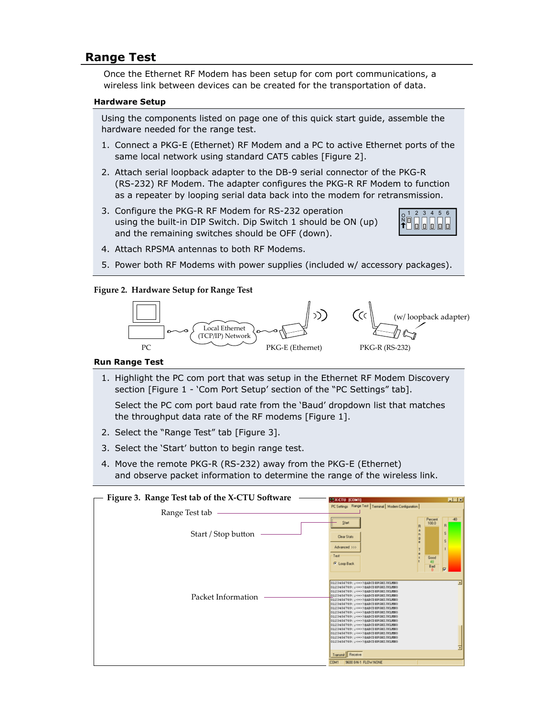## **Range Test**

Once the Ethernet RF Modem has been setup for com port communications, a wireless link between devices can be created for the transportation of data.

#### **Hardware Setup**

Using the components listed on page one of this quick start guide, assemble the hardware needed for the range test.

- 1. Connect a PKG-E (Ethernet) RF Modem and a PC to active Ethernet ports of the same local network using standard CAT5 cables [Figure 2].
- 2. Attach serial loopback adapter to the DB-9 serial connector of the PKG-R (RS-232) RF Modem. The adapter configures the PKG-R RF Modem to function as a repeater by looping serial data back into the modem for retransmission.
- 3. Configure the PKG-R RF Modem for RS-232 operation using the built-in DIP Switch. Dip Switch 1 should be ON (up) and the remaining switches should be OFF (down).



- 4. Attach RPSMA antennas to both RF Modems.
- 5. Power both RF Modems with power supplies (included w/ accessory packages).

#### **Figure 2. Hardware Setup for Range Test**



#### **Run Range Test**

1. Highlight the PC com port that was setup in the Ethernet RF Modem Discovery section [Figure 1 - 'Com Port Setup' section of the "PC Settings" tab].

 Select the PC com port baud rate from the 'Baud' dropdown list that matches the throughput data rate of the RF modems [Figure 1].

- 2. Select the "Range Test" tab [Figure 3].
- 3. Select the 'Start' button to begin range test.
- 4. Move the remote PKG-R (RS-232) away from the PKG-E (Ethernet) and observe packet information to determine the range of the wireless link.

| Figure 3. Range Test tab of the X-CTU Software | <b>HEIS</b><br><b>FEXICIO (COMI)</b>                                                                                                                                                                                                                                                                                                                                                                                                                                                                                                                                                                                                                                                                                 |  |
|------------------------------------------------|----------------------------------------------------------------------------------------------------------------------------------------------------------------------------------------------------------------------------------------------------------------------------------------------------------------------------------------------------------------------------------------------------------------------------------------------------------------------------------------------------------------------------------------------------------------------------------------------------------------------------------------------------------------------------------------------------------------------|--|
| Range Test tab                                 | PC Settings Range Test   Terminal   Modem Configuration  <br>Percent                                                                                                                                                                                                                                                                                                                                                                                                                                                                                                                                                                                                                                                 |  |
| Start / Stop button                            | 100.0<br>Start<br>R<br>š<br>Clear Stats<br>s<br>Advanced 333                                                                                                                                                                                                                                                                                                                                                                                                                                                                                                                                                                                                                                                         |  |
| Packet Information                             | Test<br>$\frac{6 \text{cod}}{48}$<br><b><i>G</i></b> Loop Back<br>Bad<br>σ<br>0123456709: 200038ABCD8FGHIZHLMNO<br>0123456789; J <= > 18ABCD SFORT FRIMAD<br>0123456709: J <<>>>>>>> 38ABCD BFGHI 7KLNNO<br>0123456703; J <<>>><>>>>38ABCD@FGHZ7KLMMO<br>0123456709; J <<>>><>>>>>>380CD SFGHIJKLMXX<br>0123456703; J <<>>>>>>>38ABCD BFGHI /NLMMO<br>0123456709   J <<>>><>>>>>>3880387081781880<br>0123456709; J <=> ? BABCD BFGHI /NLMNO<br>0123456769; J <<>>>>>>3880247081781880<br>0123456709: J <=> ? BABCD BFGHE TICLNNO<br>0123456709; J <=> 28ABCD BFORT FRIMAN<br>0123456709: J <<>>><>>>>>>> 28ABCD BFGHE FRLMMO<br>0123456703; ; <<>>><>>>>38ABCD 8FG8278LMM0<br>0123456709   J <=> 28ABCD SFGHZ 7KLMMO |  |
|                                                | 0123456709; J <<>>>>>>>38ABCD BFGHI JHLMNO<br>Transmit Receive<br>9000 8 N-1 FLOW NONE<br><b>COM1</b>                                                                                                                                                                                                                                                                                                                                                                                                                                                                                                                                                                                                                |  |